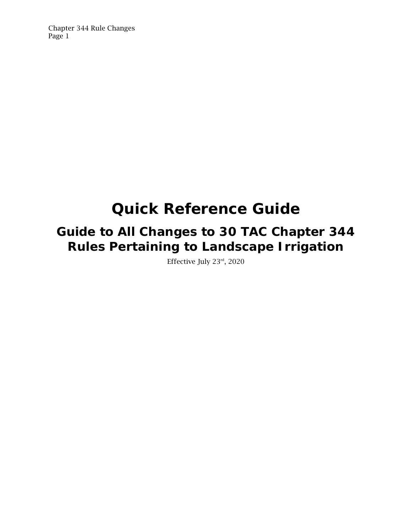# **Quick Reference Guide**

## **Guide to All Changes to 30 TAC Chapter 344 Rules Pertaining to Landscape Irrigation**

Effective July 23rd, 2020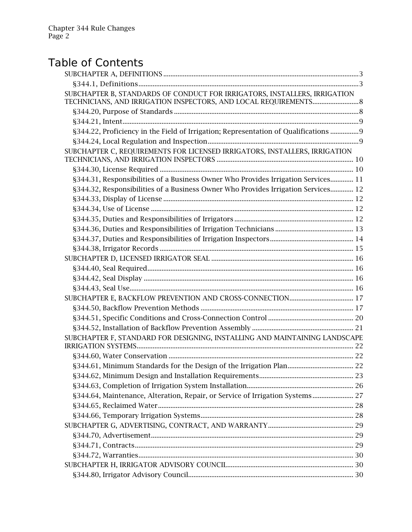## Table of Contents

| SUBCHAPTER B, STANDARDS OF CONDUCT FOR IRRIGATORS, INSTALLERS, IRRIGATION<br>TECHNICIANS, AND IRRIGATION INSPECTORS, AND LOCAL REQUIREMENTS 8 |  |
|-----------------------------------------------------------------------------------------------------------------------------------------------|--|
|                                                                                                                                               |  |
|                                                                                                                                               |  |
| §344.22, Proficiency in the Field of Irrigation; Representation of Qualifications  9                                                          |  |
|                                                                                                                                               |  |
| SUBCHAPTER C, REQUIREMENTS FOR LICENSED IRRIGATORS, INSTALLERS, IRRIGATION                                                                    |  |
|                                                                                                                                               |  |
| §344.31, Responsibilities of a Business Owner Who Provides Irrigation Services 11                                                             |  |
| §344.32, Responsibilities of a Business Owner Who Provides Irrigation Services 12                                                             |  |
|                                                                                                                                               |  |
|                                                                                                                                               |  |
|                                                                                                                                               |  |
|                                                                                                                                               |  |
|                                                                                                                                               |  |
|                                                                                                                                               |  |
|                                                                                                                                               |  |
|                                                                                                                                               |  |
|                                                                                                                                               |  |
|                                                                                                                                               |  |
|                                                                                                                                               |  |
|                                                                                                                                               |  |
|                                                                                                                                               |  |
|                                                                                                                                               |  |
| SUBCHAPTER F, STANDARD FOR DESIGNING, INSTALLING AND MAINTAINING LANDSCAPE                                                                    |  |
|                                                                                                                                               |  |
|                                                                                                                                               |  |
|                                                                                                                                               |  |
|                                                                                                                                               |  |
| §344.64, Maintenance, Alteration, Repair, or Service of Irrigation Systems 27                                                                 |  |
|                                                                                                                                               |  |
|                                                                                                                                               |  |
|                                                                                                                                               |  |
|                                                                                                                                               |  |
|                                                                                                                                               |  |
|                                                                                                                                               |  |
|                                                                                                                                               |  |
|                                                                                                                                               |  |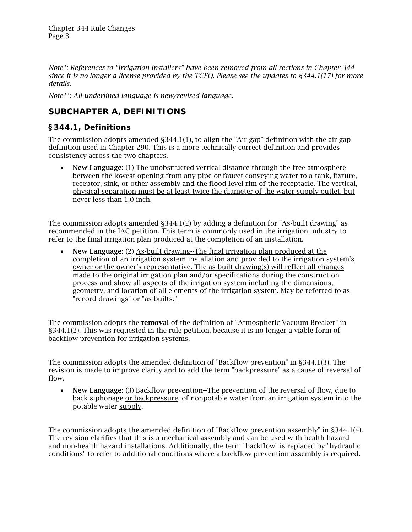<span id="page-2-0"></span>*Note\*: References to "Irrigation Installers" have been removed from all sections in Chapter 344 since it is no longer a license provided by the TCEQ. Please see the updates to §344.1(17) for more details.*

*Note\*\*: All underlined language is new/revised language.* 

## *SUBCHAPTER A, DEFINITIONS*

## <span id="page-2-1"></span>*§344.1, Definitions*

The commission adopts amended §344.1(1), to align the "Air gap" definition with the air gap definition used in Chapter 290. This is a more technically correct definition and provides consistency across the two chapters.

• New Language: (1) The unobstructed vertical distance through the free atmosphere between the lowest opening from any pipe or faucet conveying water to a tank, fixture, receptor, sink, or other assembly and the flood level rim of the receptacle. The vertical, physical separation must be at least twice the diameter of the water supply outlet, but never less than 1.0 inch.

The commission adopts amended §344.1(2) by adding a definition for "As-built drawing" as recommended in the IAC petition. This term is commonly used in the irrigation industry to refer to the final irrigation plan produced at the completion of an installation.

• New Language: (2) As-built drawing--The final irrigation plan produced at the completion of an irrigation system installation and provided to the irrigation system's owner or the owner's representative. The as-built drawing(s) will reflect all changes made to the original irrigation plan and/or specifications during the construction process and show all aspects of the irrigation system including the dimensions, geometry, and location of all elements of the irrigation system. May be referred to as "record drawings" or "as-builts."

The commission adopts the **removal** of the definition of "Atmospheric Vacuum Breaker" in §344.1(2). This was requested in the rule petition, because it is no longer a viable form of backflow prevention for irrigation systems.

The commission adopts the amended definition of "Backflow prevention" in §344.1(3). The revision is made to improve clarity and to add the term "backpressure" as a cause of reversal of flow.

• New Language: (3) Backflow prevention--The prevention of the reversal of flow, due to back siphonage or backpressure, of nonpotable water from an irrigation system into the potable water supply.

The commission adopts the amended definition of "Backflow prevention assembly" in §344.1(4). The revision clarifies that this is a mechanical assembly and can be used with health hazard and non-health hazard installations. Additionally, the term "backflow" is replaced by "hydraulic conditions" to refer to additional conditions where a backflow prevention assembly is required.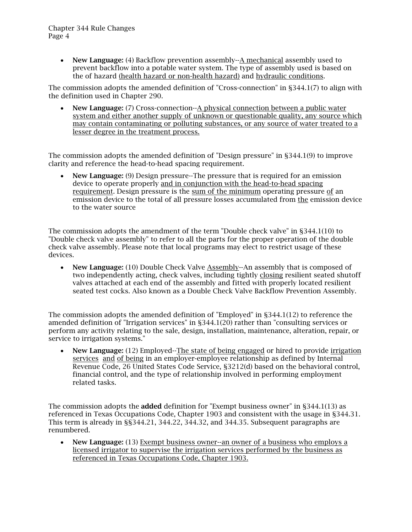• New Language: (4) Backflow prevention assembly--A mechanical assembly used to prevent backflow into a potable water system. The type of assembly used is based on the of hazard (health hazard or non-health hazard) and hydraulic conditions.

The commission adopts the amended definition of "Cross-connection" in §344.1(7) to align with the definition used in Chapter 290.

• New Language: (7) Cross-connection--A physical connection between a public water system and either another supply of unknown or questionable quality, any source which may contain contaminating or polluting substances, or any source of water treated to a lesser degree in the treatment process.

The commission adopts the amended definition of "Design pressure" in §344.1(9) to improve clarity and reference the head-to-head spacing requirement.

• New Language: (9) Design pressure--The pressure that is required for an emission device to operate properly and in conjunction with the head-to-head spacing requirement. Design pressure is the sum of the minimum operating pressure of an emission device to the total of all pressure losses accumulated from the emission device to the water source

The commission adopts the amendment of the term "Double check valve" in §344.1(10) to "Double check valve assembly" to refer to all the parts for the proper operation of the double check valve assembly. Please note that local programs may elect to restrict usage of these devices.

• New Language: (10) Double Check Valve Assembly--An assembly that is composed of two independently acting, check valves, including tightly closing resilient seated shutoff valves attached at each end of the assembly and fitted with properly located resilient seated test cocks. Also known as a Double Check Valve Backflow Prevention Assembly.

The commission adopts the amended definition of "Employed" in §344.1(12) to reference the amended definition of "Irrigation services" in §344.1(20) rather than "consulting services or perform any activity relating to the sale, design, installation, maintenance, alteration, repair, or service to irrigation systems."

• New Language: (12) Employed--The state of being engaged or hired to provide irrigation services and of being in an employer-employee relationship as defined by Internal Revenue Code, 26 United States Code Service, §3212(d) based on the behavioral control, financial control, and the type of relationship involved in performing employment related tasks.

The commission adopts the **added** definition for "Exempt business owner" in §344.1(13) as referenced in Texas Occupations Code, Chapter 1903 and consistent with the usage in §344.31. This term is already in §§344.21, 344.22, 344.32, and 344.35. Subsequent paragraphs are renumbered.

• New Language: (13) Exempt business owner--an owner of a business who employs a licensed irrigator to supervise the irrigation services performed by the business as referenced in Texas Occupations Code, Chapter 1903.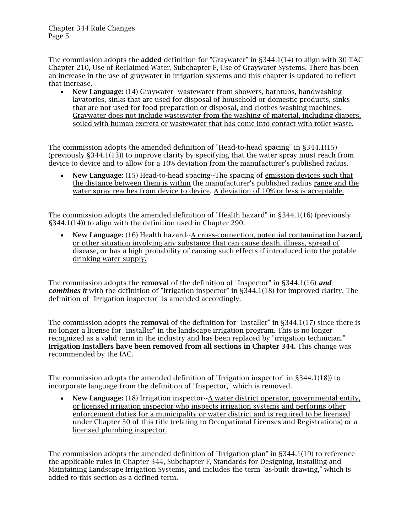The commission adopts the **added** definition for "Graywater" in §344.1(14) to align with 30 TAC Chapter 210, Use of Reclaimed Water, Subchapter F, Use of Graywater Systems. There has been an increase in the use of graywater in irrigation systems and this chapter is updated to reflect that increase.

• New Language: (14) Graywater--wastewater from showers, bathtubs, handwashing lavatories, sinks that are used for disposal of household or domestic products, sinks that are not used for food preparation or disposal, and clothes-washing machines. Graywater does not include wastewater from the washing of material, including diapers, soiled with human excreta or wastewater that has come into contact with toilet waste.

The commission adopts the amended definition of "Head-to-head spacing" in §344.1(15) (previously §344.1(13)) to improve clarity by specifying that the water spray must reach from device to device and to allow for a 10% deviation from the manufacturer's published radius.

• New Language: (15) Head-to-head spacing--The spacing of emission devices such that the distance between them is within the manufacturer's published radius range and the water spray reaches from device to device. A deviation of 10% or less is acceptable.

The commission adopts the amended definition of "Health hazard" in §344.1(16) (previously §344.1(14)) to align with the definition used in Chapter 290.

• New Language: (16) Health hazard--A cross-connection, potential contamination hazard, or other situation involving any substance that can cause death, illness, spread of disease, or has a high probability of causing such effects if introduced into the potable drinking water supply.

The commission adopts the removal of the definition of "Inspector" in §344.1(16) *and combines it* with the definition of "Irrigation inspector" in §344.1(18) for improved clarity. The definition of "Irrigation inspector" is amended accordingly.

The commission adopts the **removal** of the definition for "Installer" in \$344.1(17) since there is no longer a license for "installer" in the landscape irrigation program. This is no longer recognized as a valid term in the industry and has been replaced by "irrigation technician." Irrigation Installers have been removed from all sections in Chapter 344. This change was recommended by the IAC.

The commission adopts the amended definition of "Irrigation inspector" in §344.1(18)) to incorporate language from the definition of "Inspector," which is removed.

• New Language: (18) Irrigation inspector--A water district operator, governmental entity, or licensed irrigation inspector who inspects irrigation systems and performs other enforcement duties for a municipality or water district and is required to be licensed under Chapter 30 of this title (relating to Occupational Licenses and Registrations) or a licensed plumbing inspector.

The commission adopts the amended definition of "Irrigation plan" in §344.1(19) to reference the applicable rules in Chapter 344, Subchapter F, Standards for Designing, Installing and Maintaining Landscape Irrigation Systems, and includes the term "as-built drawing," which is added to this section as a defined term.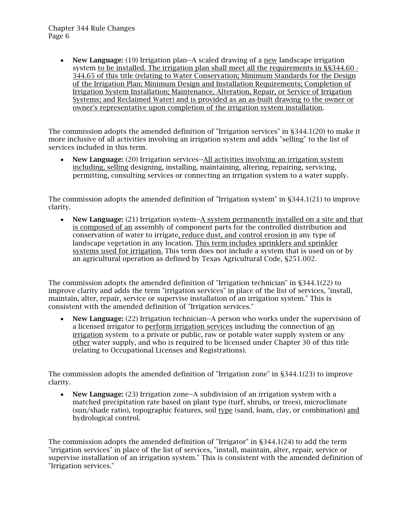• New Language: (19) Irrigation plan--A scaled drawing of a new landscape irrigation system to be installed. The irrigation plan shall meet all the requirements in §§344.60 - 344.65 of this title (relating to Water Conservation; Minimum Standards for the Design of the Irrigation Plan; Minimum Design and Installation Requirements; Completion of Irrigation System Installation; Maintenance, Alteration, Repair, or Service of Irrigation Systems; and Reclaimed Water) and is provided as an as-built drawing to the owner or owner's representative upon completion of the irrigation system installation.

The commission adopts the amended definition of "Irrigation services" in §344.1(20) to make it more inclusive of all activities involving an irrigation system and adds "selling" to the list of services included in this term.

• New Language: (20) Irrigation services--All activities involving an irrigation system including, selling designing, installing, maintaining, altering, repairing, servicing, permitting, consulting services or connecting an irrigation system to a water supply.

The commission adopts the amended definition of "Irrigation system" in §344.1(21) to improve clarity.

• New Language: (21) Irrigation system--A system permanently installed on a site and that is composed of an assembly of component parts for the controlled distribution and conservation of water to irrigate, reduce dust, and control erosion in any type of landscape vegetation in any location. This term includes sprinklers and sprinkler systems used for irrigation. This term does not include a system that is used on or by an agricultural operation as defined by Texas Agricultural Code, §251.002.

The commission adopts the amended definition of "Irrigation technician" in §344.1(22) to improve clarity and adds the term "irrigation services" in place of the list of services, "install, maintain, alter, repair, service or supervise installation of an irrigation system." This is consistent with the amended definition of "Irrigation services."

• New Language: (22) Irrigation technician--A person who works under the supervision of a licensed irrigator to perform irrigation services including the connection of an irrigation system to a private or public, raw or potable water supply system or any other water supply, and who is required to be licensed under Chapter 30 of this title (relating to Occupational Licenses and Registrations).

The commission adopts the amended definition of "Irrigation zone" in §344.1(23) to improve clarity.

• New Language: (23) Irrigation zone--A subdivision of an irrigation system with a matched precipitation rate based on plant type (turf, shrubs, or trees), microclimate (sun/shade ratio), topographic features, soil type (sand, loam, clay, or combination) and hydrological control.

The commission adopts the amended definition of "Irrigator" in §344.1(24) to add the term "irrigation services" in place of the list of services, "install, maintain, alter, repair, service or supervise installation of an irrigation system." This is consistent with the amended definition of "Irrigation services."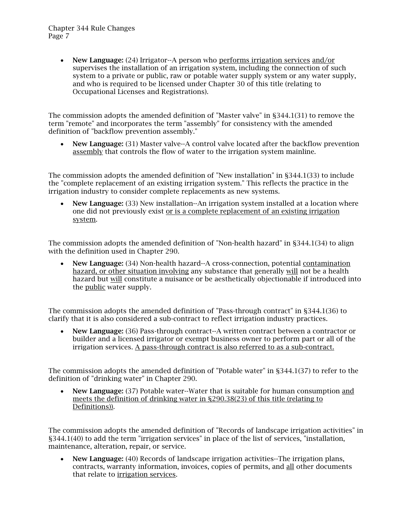• New Language: (24) Irrigator--A person who performs irrigation services and/or supervises the installation of an irrigation system, including the connection of such system to a private or public, raw or potable water supply system or any water supply, and who is required to be licensed under Chapter 30 of this title (relating to Occupational Licenses and Registrations).

The commission adopts the amended definition of "Master valve" in §344.1(31) to remove the term "remote" and incorporates the term "assembly" for consistency with the amended definition of "backflow prevention assembly."

• New Language: (31) Master valve--A control valve located after the backflow prevention assembly that controls the flow of water to the irrigation system mainline.

The commission adopts the amended definition of "New installation" in §344.1(33) to include the "complete replacement of an existing irrigation system." This reflects the practice in the irrigation industry to consider complete replacements as new systems.

• New Language: (33) New installation--An irrigation system installed at a location where one did not previously exist or is a complete replacement of an existing irrigation system.

The commission adopts the amended definition of "Non-health hazard" in §344.1(34) to align with the definition used in Chapter 290.

• New Language: (34) Non-health hazard--A cross-connection, potential contamination hazard, or other situation involving any substance that generally will not be a health hazard but will constitute a nuisance or be aesthetically objectionable if introduced into the public water supply.

The commission adopts the amended definition of "Pass-through contract" in §344.1(36) to clarify that it is also considered a sub-contract to reflect irrigation industry practices.

• New Language: (36) Pass-through contract--A written contract between a contractor or builder and a licensed irrigator or exempt business owner to perform part or all of the irrigation services. A pass-through contract is also referred to as a sub-contract.

The commission adopts the amended definition of "Potable water" in §344.1(37) to refer to the definition of "drinking water" in Chapter 290.

• New Language: (37) Potable water--Water that is suitable for human consumption and meets the definition of drinking water in §290.38(23) of this title (relating to Definitions)).

The commission adopts the amended definition of "Records of landscape irrigation activities" in §344.1(40) to add the term "irrigation services" in place of the list of services, "installation, maintenance, alteration, repair, or service.

• New Language: (40) Records of landscape irrigation activities--The irrigation plans, contracts, warranty information, invoices, copies of permits, and all other documents that relate to irrigation services.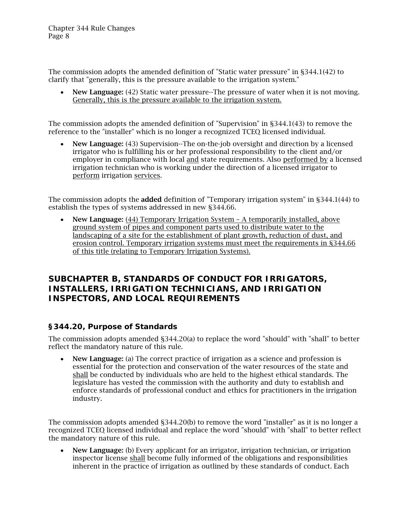The commission adopts the amended definition of "Static water pressure" in §344.1(42) to clarify that "generally, this is the pressure available to the irrigation system."

• New Language: (42) Static water pressure--The pressure of water when it is not moving. Generally, this is the pressure available to the irrigation system.

The commission adopts the amended definition of "Supervision" in §344.1(43) to remove the reference to the "installer" which is no longer a recognized TCEQ licensed individual.

• New Language: (43) Supervision--The on-the-job oversight and direction by a licensed irrigator who is fulfilling his or her professional responsibility to the client and/or employer in compliance with local and state requirements. Also performed by a licensed irrigation technician who is working under the direction of a licensed irrigator to perform irrigation services.

The commission adopts the **added** definition of "Temporary irrigation system" in §344.1(44) to establish the types of systems addressed in new §344.66.

• New Language: (44) Temporary Irrigation System – A temporarily installed, above ground system of pipes and component parts used to distribute water to the landscaping of a site for the establishment of plant growth, reduction of dust, and erosion control. Temporary irrigation systems must meet the requirements in §344.66 of this title (relating to Temporary Irrigation Systems).

## <span id="page-7-0"></span>*SUBCHAPTER B, STANDARDS OF CONDUCT FOR IRRIGATORS, INSTALLERS, IRRIGATION TECHNICIANS, AND IRRIGATION INSPECTORS, AND LOCAL REQUIREMENTS*

#### <span id="page-7-1"></span>**§344.20, Purpose of Standards**

The commission adopts amended §344.20(a) to replace the word "should" with "shall" to better reflect the mandatory nature of this rule.

• New Language: (a) The correct practice of irrigation as a science and profession is essential for the protection and conservation of the water resources of the state and shall be conducted by individuals who are held to the highest ethical standards. The legislature has vested the commission with the authority and duty to establish and enforce standards of professional conduct and ethics for practitioners in the irrigation industry.

The commission adopts amended §344.20(b) to remove the word "installer" as it is no longer a recognized TCEQ licensed individual and replace the word "should" with "shall" to better reflect the mandatory nature of this rule.

• New Language: (b) Every applicant for an irrigator, irrigation technician, or irrigation inspector license shall become fully informed of the obligations and responsibilities inherent in the practice of irrigation as outlined by these standards of conduct. Each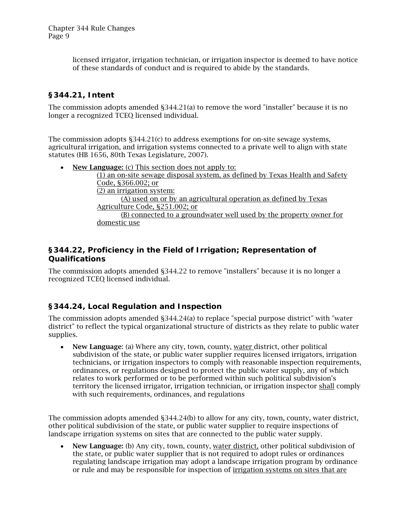licensed irrigator, irrigation technician, or irrigation inspector is deemed to have notice of these standards of conduct and is required to abide by the standards.

## <span id="page-8-0"></span>**§344.21, Intent**

The commission adopts amended §344.21(a) to remove the word "installer" because it is no longer a recognized TCEQ licensed individual.

The commission adopts §344.21(c) to address exemptions for on-site sewage systems, agricultural irrigation, and irrigation systems connected to a private well to align with state statutes (HB 1656, 80th Texas Legislature, 2007).

• New Language: (c) This section does not apply to: (1) an on-site sewage disposal system, as defined by Texas Health and Safety Code, §366.002; or (2) an irrigation system:  $(A)$  used on or by an agricultural operation as defined by Texas Agriculture Code, §251.002; or (B) connected to a groundwater well used by the property owner for domestic use

## <span id="page-8-1"></span>**§344.22, Proficiency in the Field of Irrigation; Representation of Qualifications**

The commission adopts amended §344.22 to remove "installers" because it is no longer a recognized TCEQ licensed individual.

## <span id="page-8-2"></span>**§344.24, Local Regulation and Inspection**

The commission adopts amended §344.24(a) to replace "special purpose district" with "water district" to reflect the typical organizational structure of districts as they relate to public water supplies.

• New Language: (a) Where any city, town, county, water district, other political subdivision of the state, or public water supplier requires licensed irrigators, irrigation technicians, or irrigation inspectors to comply with reasonable inspection requirements, ordinances, or regulations designed to protect the public water supply, any of which relates to work performed or to be performed within such political subdivision's territory the licensed irrigator, irrigation technician, or irrigation inspector shall comply with such requirements, ordinances, and regulations

The commission adopts amended §344.24(b) to allow for any city, town, county, water district, other political subdivision of the state, or public water supplier to require inspections of landscape irrigation systems on sites that are connected to the public water supply.

New Language: (b) Any city, town, county, water district, other political subdivision of the state, or public water supplier that is not required to adopt rules or ordinances regulating landscape irrigation may adopt a landscape irrigation program by ordinance or rule and may be responsible for inspection of irrigation systems on sites that are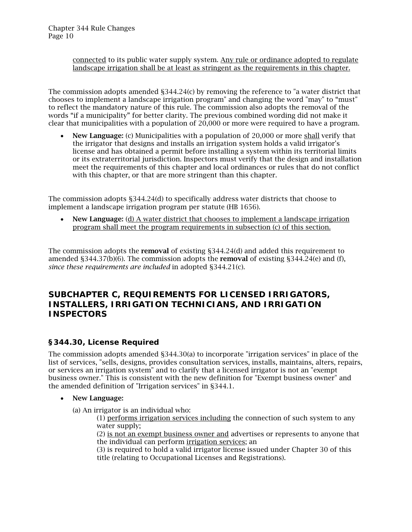connected to its public water supply system. Any rule or ordinance adopted to regulate landscape irrigation shall be at least as stringent as the requirements in this chapter.

The commission adopts amended §344.24(c) by removing the reference to "a water district that chooses to implement a landscape irrigation program" and changing the word "may" to "must" to reflect the mandatory nature of this rule. The commission also adopts the removal of the words "if a municipality" for better clarity. The previous combined wording did not make it clear that municipalities with a population of 20,000 or more were required to have a program.

• New Language: (c) Municipalities with a population of 20,000 or more shall verify that the irrigator that designs and installs an irrigation system holds a valid irrigator's license and has obtained a permit before installing a system within its territorial limits or its extraterritorial jurisdiction. Inspectors must verify that the design and installation meet the requirements of this chapter and local ordinances or rules that do not conflict with this chapter, or that are more stringent than this chapter.

The commission adopts §344.24(d) to specifically address water districts that choose to implement a landscape irrigation program per statute (HB 1656).

• New Language: (d) A water district that chooses to implement a landscape irrigation program shall meet the program requirements in subsection (c) of this section.

The commission adopts the removal of existing §344.24(d) and added this requirement to amended  $\S 344.37(b)(6)$ . The commission adopts the **removal** of existing  $\S 344.24(e)$  and (f), *since these requirements are included* in adopted §344.21(c).

## <span id="page-9-0"></span>*SUBCHAPTER C, REQUIREMENTS FOR LICENSED IRRIGATORS, INSTALLERS, IRRIGATION TECHNICIANS, AND IRRIGATION INSPECTORS*

## <span id="page-9-1"></span>**§344.30, License Required**

The commission adopts amended §344.30(a) to incorporate "irrigation services" in place of the list of services, "sells, designs, provides consultation services, installs, maintains, alters, repairs, or services an irrigation system" and to clarify that a licensed irrigator is not an "exempt business owner." This is consistent with the new definition for "Exempt business owner" and the amended definition of "Irrigation services" in §344.1.

#### • New Language:

(a) An irrigator is an individual who:

(1) performs irrigation services including the connection of such system to any water supply;

(2) is not an exempt business owner and advertises or represents to anyone that the individual can perform irrigation services; an

(3) is required to hold a valid irrigator license issued under Chapter 30 of this title (relating to Occupational Licenses and Registrations).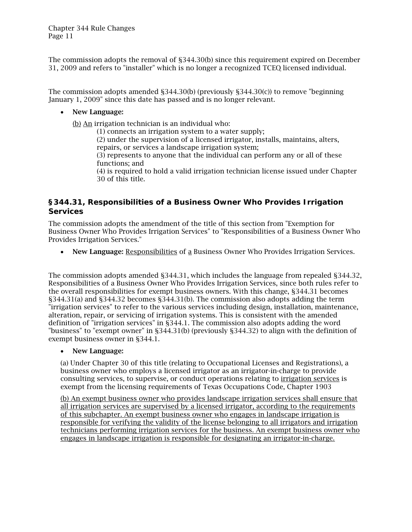The commission adopts the removal of §344.30(b) since this requirement expired on December 31, 2009 and refers to "installer" which is no longer a recognized TCEQ licensed individual.

The commission adopts amended §344.30(b) (previously §344.30(c)) to remove "beginning January 1, 2009" since this date has passed and is no longer relevant.

#### • New Language:

(b) An irrigation technician is an individual who:

(1) connects an irrigation system to a water supply;

(2) under the supervision of a licensed irrigator, installs, maintains, alters, repairs, or services a landscape irrigation system;

(3) represents to anyone that the individual can perform any or all of these functions; and

(4) is required to hold a valid irrigation technician license issued under Chapter 30 of this title.

### <span id="page-10-0"></span>**§344.31, Responsibilities of a Business Owner Who Provides Irrigation Services**

The commission adopts the amendment of the title of this section from "Exemption for Business Owner Who Provides Irrigation Services" to "Responsibilities of a Business Owner Who Provides Irrigation Services."

• New Language: Responsibilities of a Business Owner Who Provides Irrigation Services.

The commission adopts amended §344.31, which includes the language from repealed §344.32, Responsibilities of a Business Owner Who Provides Irrigation Services, since both rules refer to the overall responsibilities for exempt business owners. With this change, §344.31 becomes §344.31(a) and §344.32 becomes §344.31(b). The commission also adopts adding the term "irrigation services" to refer to the various services including design, installation, maintenance, alteration, repair, or servicing of irrigation systems. This is consistent with the amended definition of "irrigation services" in §344.1. The commission also adopts adding the word "business" to "exempt owner" in §344.31(b) (previously §344.32) to align with the definition of exempt business owner in §344.1.

#### • New Language:

(a) Under Chapter 30 of this title (relating to Occupational Licenses and Registrations), a business owner who employs a licensed irrigator as an irrigator-in-charge to provide consulting services, to supervise, or conduct operations relating to irrigation services is exempt from the licensing requirements of Texas Occupations Code, Chapter 1903

(b) An exempt business owner who provides landscape irrigation services shall ensure that all irrigation services are supervised by a licensed irrigator, according to the requirements of this subchapter. An exempt business owner who engages in landscape irrigation is responsible for verifying the validity of the license belonging to all irrigators and irrigation technicians performing irrigation services for the business. An exempt business owner who engages in landscape irrigation is responsible for designating an irrigator-in-charge.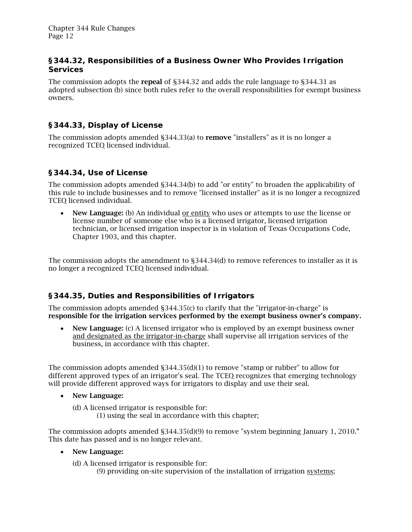#### <span id="page-11-0"></span>**§344.32, Responsibilities of a Business Owner Who Provides Irrigation Services**

The commission adopts the repeal of §344.32 and adds the rule language to §344.31 as adopted subsection (b) since both rules refer to the overall responsibilities for exempt business owners.

## <span id="page-11-1"></span>**§344.33, Display of License**

The commission adopts amended §344.33(a) to remove "installers" as it is no longer a recognized TCEQ licensed individual.

#### <span id="page-11-2"></span>**§344.34, Use of License**

The commission adopts amended §344.34(b) to add "or entity" to broaden the applicability of this rule to include businesses and to remove "licensed installer" as it is no longer a recognized TCEQ licensed individual.

• New Language: (b) An individual or entity who uses or attempts to use the license or license number of someone else who is a licensed irrigator, licensed irrigation technician, or licensed irrigation inspector is in violation of Texas Occupations Code, Chapter 1903, and this chapter.

The commission adopts the amendment to §344.34(d) to remove references to installer as it is no longer a recognized TCEQ licensed individual.

## <span id="page-11-3"></span>**§344.35, Duties and Responsibilities of Irrigators**

The commission adopts amended §344.35(c) to clarify that the "irrigator-in-charge" is responsible for the irrigation services performed by the exempt business owner's company.

• New Language: (c) A licensed irrigator who is employed by an exempt business owner and designated as the irrigator-in-charge shall supervise all irrigation services of the business, in accordance with this chapter.

The commission adopts amended  $\S 344.35(d)(1)$  to remove "stamp or rubber" to allow for different approved types of an irrigator's seal. The TCEQ recognizes that emerging technology will provide different approved ways for irrigators to display and use their seal.

- New Language:
	- (d) A licensed irrigator is responsible for:
		- (1) using the seal in accordance with this chapter;

The commission adopts amended §344.35(d)(9) to remove "system beginning January 1, 2010." This date has passed and is no longer relevant.

• New Language:

(d) A licensed irrigator is responsible for: (9) providing on-site supervision of the installation of irrigation systems;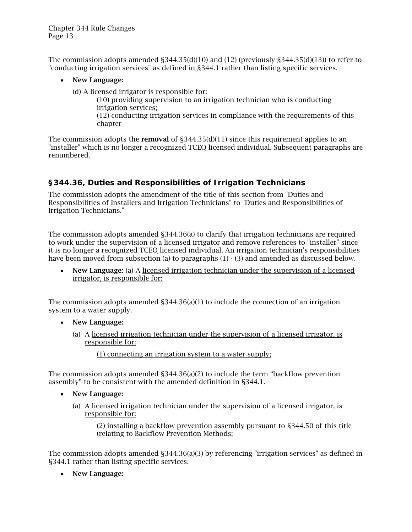The commission adopts amended  $\S344.35(d)(10)$  and (12) (previously  $\S344.35(d)(13)$ ) to refer to "conducting irrigation services" as defined in §344.1 rather than listing specific services.

- New Language:
	- (d) A licensed irrigator is responsible for:

(10) providing supervision to an irrigation technician who is conducting irrigation services; (12) conducting irrigation services in compliance with the requirements of this chapter

The commission adopts the **removal** of  $\S 344.35(d)(11)$  since this requirement applies to an "installer" which is no longer a recognized TCEQ licensed individual. Subsequent paragraphs are renumbered.

## <span id="page-12-0"></span>**§344.36, Duties and Responsibilities of Irrigation Technicians**

The commission adopts the amendment of the title of this section from "Duties and Responsibilities of Installers and Irrigation Technicians" to "Duties and Responsibilities of Irrigation Technicians."

The commission adopts amended §344.36(a) to clarify that irrigation technicians are required to work under the supervision of a licensed irrigator and remove references to "installer" since it is no longer a recognized TCEQ licensed individual. An irrigation technician's responsibilities have been moved from subsection (a) to paragraphs (1) - (3) and amended as discussed below.

• New Language: (a) A licensed irrigation technician under the supervision of a licensed irrigator, is responsible for:

The commission adopts amended  $\S 344.36(a)(1)$  to include the connection of an irrigation system to a water supply.

- New Language:
	- (a) A licensed irrigation technician under the supervision of a licensed irrigator, is responsible for:
		- (1) connecting an irrigation system to a water supply;

The commission adopts amended §344.36(a)(2) to include the term "backflow prevention assembly" to be consistent with the amended definition in §344.1.

- New Language:
	- (a) A licensed irrigation technician under the supervision of a licensed irrigator, is responsible for:

(2) installing a backflow prevention assembly pursuant to §344.50 of this title (relating to Backflow Prevention Methods;

The commission adopts amended §344.36(a)(3) by referencing "irrigation services" as defined in §344.1 rather than listing specific services.

• New Language: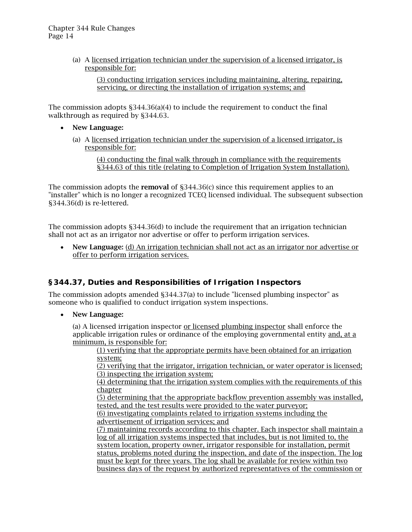(a) A licensed irrigation technician under the supervision of a licensed irrigator, is responsible for:

(3) conducting irrigation services including maintaining, altering, repairing, servicing, or directing the installation of irrigation systems; and

The commission adopts §344.36(a)(4) to include the requirement to conduct the final walkthrough as required by \$344.63.

- New Language:
	- (a) A licensed irrigation technician under the supervision of a licensed irrigator, is responsible for:

(4) conducting the final walk through in compliance with the requirements §344.63 of this title (relating to Completion of Irrigation System Installation).

The commission adopts the **removal** of  $\S 344.36(c)$  since this requirement applies to an "installer" which is no longer a recognized TCEQ licensed individual. The subsequent subsection §344.36(d) is re-lettered.

The commission adopts §344.36(d) to include the requirement that an irrigation technician shall not act as an irrigator nor advertise or offer to perform irrigation services.

• New Language: (d) An irrigation technician shall not act as an irrigator nor advertise or offer to perform irrigation services.

## <span id="page-13-0"></span>**§344.37, Duties and Responsibilities of Irrigation Inspectors**

The commission adopts amended §344.37(a) to include "licensed plumbing inspector" as someone who is qualified to conduct irrigation system inspections.

• New Language:

(a) A licensed irrigation inspector or licensed plumbing inspector shall enforce the applicable irrigation rules or ordinance of the employing governmental entity and, at a minimum, is responsible for:

(1) verifying that the appropriate permits have been obtained for an irrigation system;

(2) verifying that the irrigator, irrigation technician, or water operator is licensed; (3) inspecting the irrigation system;

(4) determining that the irrigation system complies with the requirements of this chapter

(5) determining that the appropriate backflow prevention assembly was installed, tested, and the test results were provided to the water purveyor;

(6) investigating complaints related to irrigation systems including the advertisement of irrigation services; and

(7) maintaining records according to this chapter. Each inspector shall maintain a log of all irrigation systems inspected that includes, but is not limited to, the system location, property owner, irrigator responsible for installation, permit status, problems noted during the inspection, and date of the inspection. The log must be kept for three years. The log shall be available for review within two business days of the request by authorized representatives of the commission or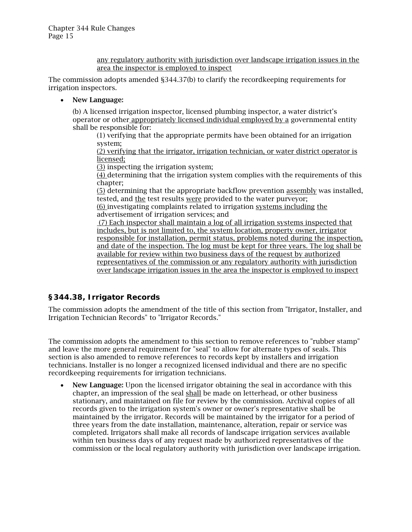any regulatory authority with jurisdiction over landscape irrigation issues in the area the inspector is employed to inspect

The commission adopts amended §344.37(b) to clarify the recordkeeping requirements for irrigation inspectors.

• New Language:

(b) A licensed irrigation inspector, licensed plumbing inspector, a water district's operator or other appropriately licensed individual employed by a governmental entity shall be responsible for:

(1) verifying that the appropriate permits have been obtained for an irrigation system;

(2) verifying that the irrigator, irrigation technician, or water district operator is licensed;

(3) inspecting the irrigation system;

 $\overline{(4)}$  determining that the irrigation system complies with the requirements of this chapter;

(5) determining that the appropriate backflow prevention assembly was installed, tested, and the test results were provided to the water purveyor;

(6) investigating complaints related to irrigation systems including the advertisement of irrigation services; and

(7) Each inspector shall maintain a log of all irrigation systems inspected that includes, but is not limited to, the system location, property owner, irrigator responsible for installation, permit status, problems noted during the inspection, and date of the inspection. The log must be kept for three years. The log shall be available for review within two business days of the request by authorized representatives of the commission or any regulatory authority with jurisdiction over landscape irrigation issues in the area the inspector is employed to inspect

## <span id="page-14-0"></span>**§344.38, Irrigator Records**

The commission adopts the amendment of the title of this section from "Irrigator, Installer, and Irrigation Technician Records" to "Irrigator Records."

The commission adopts the amendment to this section to remove references to "rubber stamp" and leave the more general requirement for "seal" to allow for alternate types of seals. This section is also amended to remove references to records kept by installers and irrigation technicians. Installer is no longer a recognized licensed individual and there are no specific recordkeeping requirements for irrigation technicians.

• New Language: Upon the licensed irrigator obtaining the seal in accordance with this chapter, an impression of the seal shall be made on letterhead, or other business stationary, and maintained on file for review by the commission. Archival copies of all records given to the irrigation system's owner or owner's representative shall be maintained by the irrigator. Records will be maintained by the irrigator for a period of three years from the date installation, maintenance, alteration, repair or service was completed. Irrigators shall make all records of landscape irrigation services available within ten business days of any request made by authorized representatives of the commission or the local regulatory authority with jurisdiction over landscape irrigation.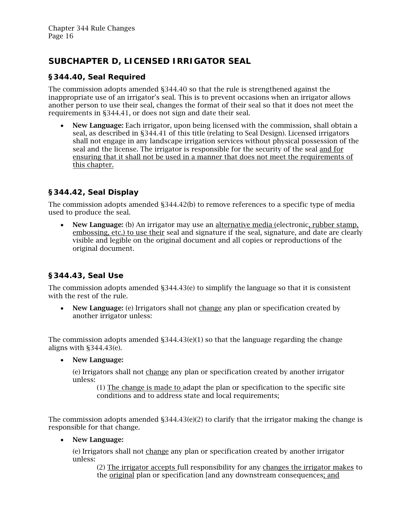## <span id="page-15-0"></span>*SUBCHAPTER D, LICENSED IRRIGATOR SEAL*

## <span id="page-15-1"></span>**§344.40, Seal Required**

The commission adopts amended §344.40 so that the rule is strengthened against the inappropriate use of an irrigator's seal. This is to prevent occasions when an irrigator allows another person to use their seal, changes the format of their seal so that it does not meet the requirements in §344.41, or does not sign and date their seal.

• New Language: Each irrigator, upon being licensed with the commission, shall obtain a seal, as described in §344.41 of this title (relating to Seal Design). Licensed irrigators shall not engage in any landscape irrigation services without physical possession of the seal and the license. The irrigator is responsible for the security of the seal and for ensuring that it shall not be used in a manner that does not meet the requirements of this chapter.

## <span id="page-15-2"></span>**§344.42, Seal Display**

The commission adopts amended §344.42(b) to remove references to a specific type of media used to produce the seal.

• New Language: (b) An irrigator may use an alternative media (electronic, rubber stamp, embossing, etc.) to use their seal and signature if the seal, signature, and date are clearly visible and legible on the original document and all copies or reproductions of the original document.

## <span id="page-15-3"></span>**§344.43, Seal Use**

The commission adopts amended §344.43(e) to simplify the language so that it is consistent with the rest of the rule.

• New Language: (e) Irrigators shall not change any plan or specification created by another irrigator unless:

The commission adopts amended  $\S 344.43(e)(1)$  so that the language regarding the change aligns with §344.43(e).

#### • New Language:

(e) Irrigators shall not change any plan or specification created by another irrigator unless:

(1) The change is made to adapt the plan or specification to the specific site conditions and to address state and local requirements;

The commission adopts amended  $\S 344.43(e)(2)$  to clarify that the irrigator making the change is responsible for that change.

#### • New Language:

(e) Irrigators shall not change any plan or specification created by another irrigator unless:

(2) The irrigator accepts full responsibility for any changes the irrigator makes to the original plan or specification [and any downstream consequences; and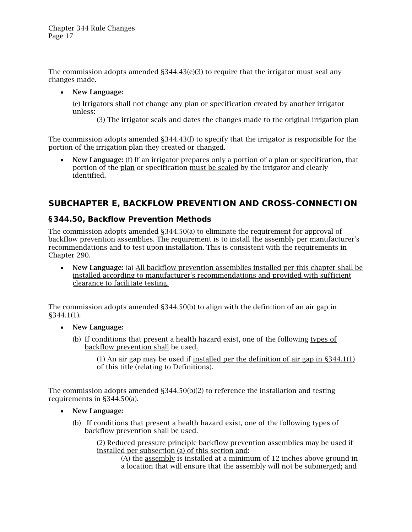The commission adopts amended §344.43(e)(3) to require that the irrigator must seal any changes made.

• New Language:

(e) Irrigators shall not change any plan or specification created by another irrigator unless:

(3) The irrigator seals and dates the changes made to the original irrigation plan

The commission adopts amended §344.43(f) to specify that the irrigator is responsible for the portion of the irrigation plan they created or changed.

• New Language: (f) If an irrigator prepares only a portion of a plan or specification, that portion of the plan or specification must be sealed by the irrigator and clearly identified.

## <span id="page-16-0"></span>*SUBCHAPTER E, BACKFLOW PREVENTION AND CROSS-CONNECTION*

#### <span id="page-16-1"></span>**§344.50, Backflow Prevention Methods**

The commission adopts amended §344.50(a) to eliminate the requirement for approval of backflow prevention assemblies. The requirement is to install the assembly per manufacturer's recommendations and to test upon installation. This is consistent with the requirements in Chapter 290.

• New Language: (a) All backflow prevention assemblies installed per this chapter shall be installed according to manufacturer's recommendations and provided with sufficient clearance to facilitate testing.

The commission adopts amended §344.50(b) to align with the definition of an air gap in §344.1(1).

- New Language:
	- (b) If conditions that present a health hazard exist, one of the following types of backflow prevention shall be used.

(1) An air gap may be used if installed per the definition of air gap in §344.1(1) of this title (relating to Definitions).

The commission adopts amended §344.50(b)(2) to reference the installation and testing requirements in §344.50(a).

- New Language:
	- (b) If conditions that present a health hazard exist, one of the following types of backflow prevention shall be used.

(2) Reduced pressure principle backflow prevention assemblies may be used if installed per subsection (a) of this section and:

(A) the assembly is installed at a minimum of 12 inches above ground in a location that will ensure that the assembly will not be submerged; and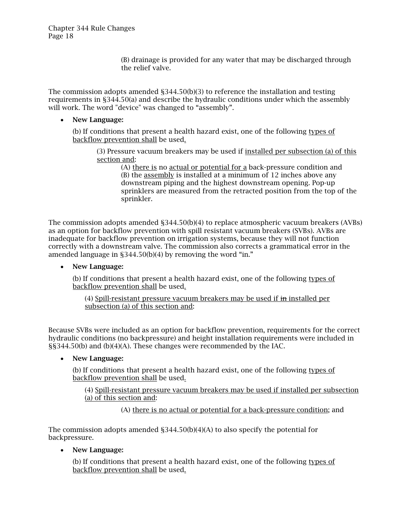(B) drainage is provided for any water that may be discharged through the relief valve.

The commission adopts amended §344.50(b)(3) to reference the installation and testing requirements in §344.50(a) and describe the hydraulic conditions under which the assembly will work. The word "device" was changed to "assembly".

#### • New Language:

(b) If conditions that present a health hazard exist, one of the following types of backflow prevention shall be used.

(3) Pressure vacuum breakers may be used if installed per subsection (a) of this section and:

> (A) there is no actual or potential for a back-pressure condition and (B) the assembly is installed at a minimum of 12 inches above any downstream piping and the highest downstream opening. Pop-up sprinklers are measured from the retracted position from the top of the sprinkler.

The commission adopts amended §344.50(b)(4) to replace atmospheric vacuum breakers (AVBs) as an option for backflow prevention with spill resistant vacuum breakers (SVBs). AVBs are inadequate for backflow prevention on irrigation systems, because they will not function correctly with a downstream valve. The commission also corrects a grammatical error in the amended language in §344.50(b)(4) by removing the word "in."

#### • New Language:

(b) If conditions that present a health hazard exist, one of the following types of backflow prevention shall be used.

(4) Spill-resistant pressure vacuum breakers may be used if in installed per subsection (a) of this section and:

Because SVBs were included as an option for backflow prevention, requirements for the correct hydraulic conditions (no backpressure) and height installation requirements were included in §§344.50(b) and (b)(4)(A). These changes were recommended by the IAC.

#### • New Language:

(b) If conditions that present a health hazard exist, one of the following types of backflow prevention shall be used.

(4) Spill-resistant pressure vacuum breakers may be used if installed per subsection (a) of this section and:

(A) there is no actual or potential for a back-pressure condition; and

The commission adopts amended  $\S 344.50(b)(4)(A)$  to also specify the potential for backpressure.

• New Language:

(b) If conditions that present a health hazard exist, one of the following types of backflow prevention shall be used.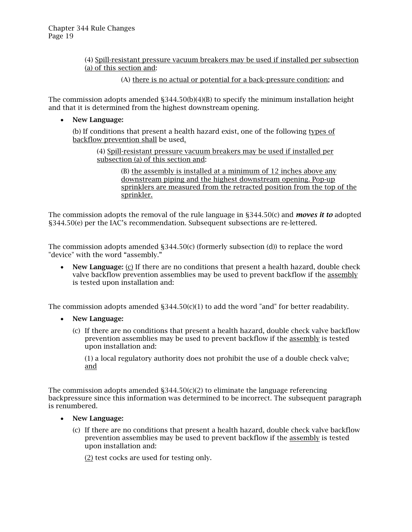(4) Spill-resistant pressure vacuum breakers may be used if installed per subsection (a) of this section and:

(A) there is no actual or potential for a back-pressure condition; and

The commission adopts amended  $\S 344.50(b)(4)(B)$  to specify the minimum installation height and that it is determined from the highest downstream opening.

• New Language:

(b) If conditions that present a health hazard exist, one of the following types of backflow prevention shall be used.

(4) Spill-resistant pressure vacuum breakers may be used if installed per subsection (a) of this section and:

> (B) the assembly is installed at a minimum of 12 inches above any downstream piping and the highest downstream opening. Pop-up sprinklers are measured from the retracted position from the top of the sprinkler.

The commission adopts the removal of the rule language in §344.50(c) and *moves it to* adopted §344.50(e) per the IAC's recommendation. Subsequent subsections are re-lettered.

The commission adopts amended §344.50(c) (formerly subsection (d)) to replace the word "device" with the word "assembly."

• New Language: (c) If there are no conditions that present a health hazard, double check valve backflow prevention assemblies may be used to prevent backflow if the assembly is tested upon installation and:

The commission adopts amended  $\S 344.50(c)(1)$  to add the word "and" for better readability.

- New Language:
	- (c) If there are no conditions that present a health hazard, double check valve backflow prevention assemblies may be used to prevent backflow if the assembly is tested upon installation and:

(1) a local regulatory authority does not prohibit the use of a double check valve; and

The commission adopts amended  $\S 344.50(c)(2)$  to eliminate the language referencing backpressure since this information was determined to be incorrect. The subsequent paragraph is renumbered.

- New Language:
	- (c) If there are no conditions that present a health hazard, double check valve backflow prevention assemblies may be used to prevent backflow if the assembly is tested upon installation and:

(2) test cocks are used for testing only.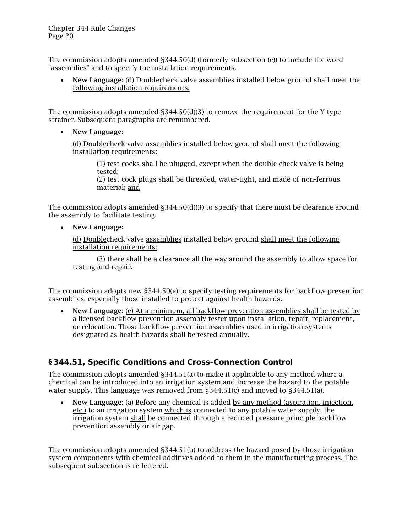The commission adopts amended §344.50(d) (formerly subsection (e)) to include the word "assemblies" and to specify the installation requirements.

• New Language: (d) Doublecheck valve assemblies installed below ground shall meet the following installation requirements:

The commission adopts amended  $\S 344.50(d)(3)$  to remove the requirement for the Y-type strainer. Subsequent paragraphs are renumbered.

• New Language:

(d) Doublecheck valve assemblies installed below ground shall meet the following installation requirements:

(1) test cocks shall be plugged, except when the double check valve is being tested;

(2) test cock plugs shall be threaded, water-tight, and made of non-ferrous material; and

The commission adopts amended  $\S 344.50(d)(3)$  to specify that there must be clearance around the assembly to facilitate testing.

• New Language:

(d) Doublecheck valve assemblies installed below ground shall meet the following installation requirements:

(3) there shall be a clearance all the way around the assembly to allow space for testing and repair.

The commission adopts new §344.50(e) to specify testing requirements for backflow prevention assemblies, especially those installed to protect against health hazards.

• New Language: (e) At a minimum, all backflow prevention assemblies shall be tested by a licensed backflow prevention assembly tester upon installation, repair, replacement, or relocation. Those backflow prevention assemblies used in irrigation systems designated as health hazards shall be tested annually.

## <span id="page-19-0"></span>**§344.51, Specific Conditions and Cross-Connection Control**

The commission adopts amended §344.51(a) to make it applicable to any method where a chemical can be introduced into an irrigation system and increase the hazard to the potable water supply. This language was removed from §344.51(c) and moved to §344.51(a).

• New Language: (a) Before any chemical is added by any method (aspiration, injection, etc.) to an irrigation system which is connected to any potable water supply, the irrigation system shall be connected through a reduced pressure principle backflow prevention assembly or air gap.

The commission adopts amended §344.51(b) to address the hazard posed by those irrigation system components with chemical additives added to them in the manufacturing process. The subsequent subsection is re-lettered.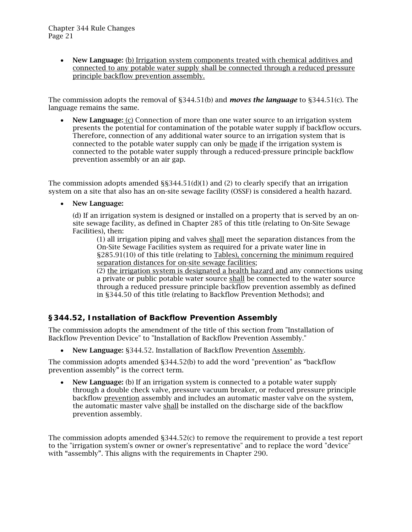• New Language: (b) Irrigation system components treated with chemical additives and connected to any potable water supply shall be connected through a reduced pressure principle backflow prevention assembly.

The commission adopts the removal of §344.51(b) and *moves the language* to §344.51(c). The language remains the same.

• New Language: (c) Connection of more than one water source to an irrigation system presents the potential for contamination of the potable water supply if backflow occurs. Therefore, connection of any additional water source to an irrigation system that is connected to the potable water supply can only be made if the irrigation system is connected to the potable water supply through a reduced-pressure principle backflow prevention assembly or an air gap.

The commission adopts amended  $\S$ §344.51(d)(1) and (2) to clearly specify that an irrigation system on a site that also has an on-site sewage facility (OSSF) is considered a health hazard.

• New Language:

(d) If an irrigation system is designed or installed on a property that is served by an onsite sewage facility, as defined in Chapter 285 of this title (relating to On-Site Sewage Facilities), then:

(1) all irrigation piping and valves shall meet the separation distances from the On-Site Sewage Facilities system as required for a private water line in §285.91(10) of this title (relating to Tables), concerning the minimum required separation distances for on-site sewage facilities;

(2) the irrigation system is designated a health hazard and any connections using a private or public potable water source shall be connected to the water source through a reduced pressure principle backflow prevention assembly as defined in §344.50 of this title (relating to Backflow Prevention Methods); and

## <span id="page-20-0"></span>**§344.52, Installation of Backflow Prevention Assembly**

The commission adopts the amendment of the title of this section from "Installation of Backflow Prevention Device" to "Installation of Backflow Prevention Assembly."

• New Language: §344.52. Installation of Backflow Prevention Assembly.

The commission adopts amended §344.52(b) to add the word "prevention" as "backflow prevention assembly" is the correct term.

• New Language: (b) If an irrigation system is connected to a potable water supply through a double check valve, pressure vacuum breaker, or reduced pressure principle backflow prevention assembly and includes an automatic master valve on the system, the automatic master valve shall be installed on the discharge side of the backflow prevention assembly.

The commission adopts amended §344.52(c) to remove the requirement to provide a test report to the "irrigation system's owner or owner's representative" and to replace the word "device" with "assembly". This aligns with the requirements in Chapter 290.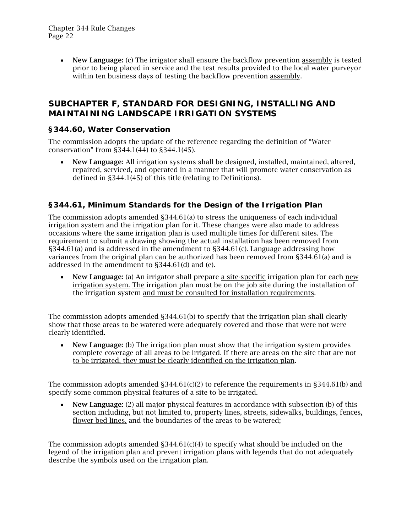• New Language: (c) The irrigator shall ensure the backflow prevention assembly is tested prior to being placed in service and the test results provided to the local water purveyor within ten business days of testing the backflow prevention assembly.

## <span id="page-21-0"></span>*SUBCHAPTER F, STANDARD FOR DESIGNING, INSTALLING AND MAINTAINING LANDSCAPE IRRIGATION SYSTEMS*

### <span id="page-21-1"></span>**§344.60, Water Conservation**

The commission adopts the update of the reference regarding the definition of "Water conservation" from §344.1(44) to §344.1(45).

• New Language: All irrigation systems shall be designed, installed, maintained, altered, repaired, serviced, and operated in a manner that will promote water conservation as defined in §344.1(45) of this title (relating to Definitions).

## <span id="page-21-2"></span>**§344.61, Minimum Standards for the Design of the Irrigation Plan**

The commission adopts amended §344.61(a) to stress the uniqueness of each individual irrigation system and the irrigation plan for it. These changes were also made to address occasions where the same irrigation plan is used multiple times for different sites. The requirement to submit a drawing showing the actual installation has been removed from §344.61(a) and is addressed in the amendment to §344.61(c). Language addressing how variances from the original plan can be authorized has been removed from §344.61(a) and is addressed in the amendment to §344.61(d) and (e).

New Language: (a) An irrigator shall prepare a site-specific irrigation plan for each new irrigation system. The irrigation plan must be on the job site during the installation of the irrigation system and must be consulted for installation requirements.

The commission adopts amended §344.61(b) to specify that the irrigation plan shall clearly show that those areas to be watered were adequately covered and those that were not were clearly identified.

• New Language: (b) The irrigation plan must show that the irrigation system provides complete coverage of all areas to be irrigated. If there are areas on the site that are not to be irrigated, they must be clearly identified on the irrigation plan.

The commission adopts amended  $\S 344.61(c)(2)$  to reference the requirements in  $\S 344.61(b)$  and specify some common physical features of a site to be irrigated.

• New Language: (2) all major physical features in accordance with subsection (b) of this section including, but not limited to, property lines, streets, sidewalks, buildings, fences, flower bed lines, and the boundaries of the areas to be watered;

The commission adopts amended  $\S 344.61(c)(4)$  to specify what should be included on the legend of the irrigation plan and prevent irrigation plans with legends that do not adequately describe the symbols used on the irrigation plan.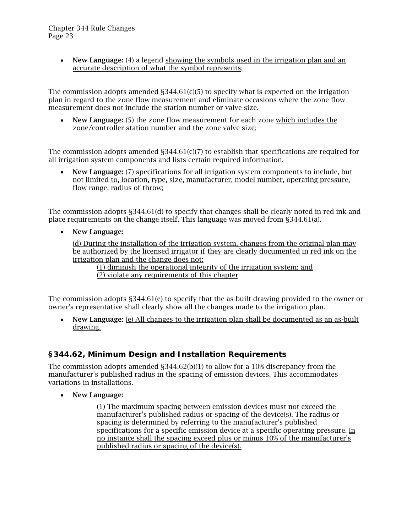• New Language: (4) a legend showing the symbols used in the irrigation plan and an accurate description of what the symbol represents;

The commission adopts amended  $\S 344.61(c)(5)$  to specify what is expected on the irrigation plan in regard to the zone flow measurement and eliminate occasions where the zone flow measurement does not include the station number or valve size.

• New Language: (5) the zone flow measurement for each zone which includes the zone/controller station number and the zone valve size;

The commission adopts amended  $\S 344.61(c)(7)$  to establish that specifications are required for all irrigation system components and lists certain required information.

• New Language: (7) specifications for all irrigation system components to include, but not limited to, location, type, size, manufacturer, model number, operating pressure, flow range, radius of throw;

The commission adopts §344.61(d) to specify that changes shall be clearly noted in red ink and place requirements on the change itself. This language was moved from §344.61(a).

• New Language:

(d) During the installation of the irrigation system, changes from the original plan may be authorized by the licensed irrigator if they are clearly documented in red ink on the irrigation plan and the change does not:

(1) diminish the operational integrity of the irrigation system; and (2) violate any requirements of this chapter

The commission adopts §344.61(e) to specify that the as-built drawing provided to the owner or owner's representative shall clearly show all the changes made to the irrigation plan.

• New Language: (e) All changes to the irrigation plan shall be documented as an as-built drawing.

## <span id="page-22-0"></span>**§344.62, Minimum Design and Installation Requirements**

The commission adopts amended §344.62(b)(1) to allow for a 10% discrepancy from the manufacturer's published radius in the spacing of emission devices. This accommodates variations in installations.

• New Language:

(1) The maximum spacing between emission devices must not exceed the manufacturer's published radius or spacing of the device(s). The radius or spacing is determined by referring to the manufacturer's published specifications for a specific emission device at a specific operating pressure. In no instance shall the spacing exceed plus or minus 10% of the manufacturer's published radius or spacing of the device(s).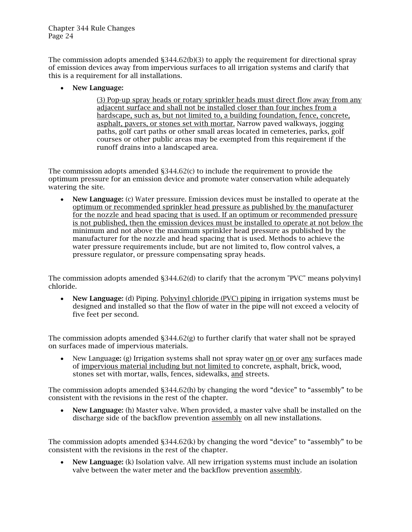The commission adopts amended §344.62(b)(3) to apply the requirement for directional spray of emission devices away from impervious surfaces to all irrigation systems and clarify that this is a requirement for all installations.

• New Language:

(3) Pop-up spray heads or rotary sprinkler heads must direct flow away from any adjacent surface and shall not be installed closer than four inches from a hardscape, such as, but not limited to, a building foundation, fence, concrete, asphalt, pavers, or stones set with mortar. Narrow paved walkways, jogging paths, golf cart paths or other small areas located in cemeteries, parks, golf courses or other public areas may be exempted from this requirement if the runoff drains into a landscaped area.

The commission adopts amended §344.62(c) to include the requirement to provide the optimum pressure for an emission device and promote water conservation while adequately watering the site.

• New Language: (c) Water pressure. Emission devices must be installed to operate at the optimum or recommended sprinkler head pressure as published by the manufacturer for the nozzle and head spacing that is used. If an optimum or recommended pressure is not published, then the emission devices must be installed to operate at not below the minimum and not above the maximum sprinkler head pressure as published by the manufacturer for the nozzle and head spacing that is used. Methods to achieve the water pressure requirements include, but are not limited to, flow control valves, a pressure regulator, or pressure compensating spray heads.

The commission adopts amended §344.62(d) to clarify that the acronym "PVC" means polyvinyl chloride.

• New Language: (d) Piping. Polyvinyl chloride (PVC) piping in irrigation systems must be designed and installed so that the flow of water in the pipe will not exceed a velocity of five feet per second.

The commission adopts amended §344.62(g) to further clarify that water shall not be sprayed on surfaces made of impervious materials.

• New Language: (g) Irrigation systems shall not spray water on or over any surfaces made of impervious material including but not limited to concrete, asphalt, brick, wood, stones set with mortar, walls, fences, sidewalks, and streets.

The commission adopts amended §344.62(h) by changing the word "device" to "assembly" to be consistent with the revisions in the rest of the chapter.

• New Language: (h) Master valve. When provided, a master valve shall be installed on the discharge side of the backflow prevention assembly on all new installations.

The commission adopts amended §344.62(k) by changing the word "device" to "assembly" to be consistent with the revisions in the rest of the chapter.

• New Language: (k) Isolation valve. All new irrigation systems must include an isolation valve between the water meter and the backflow prevention assembly.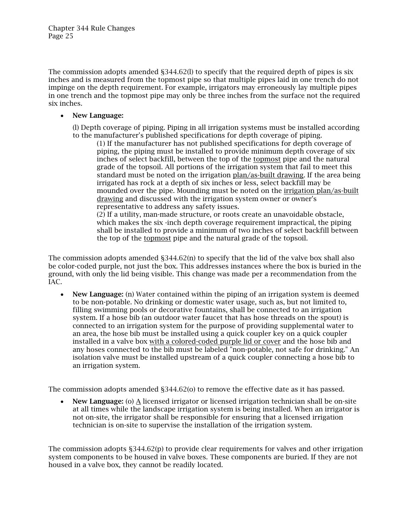The commission adopts amended §344.62(l) to specify that the required depth of pipes is six inches and is measured from the topmost pipe so that multiple pipes laid in one trench do not impinge on the depth requirement. For example, irrigators may erroneously lay multiple pipes in one trench and the topmost pipe may only be three inches from the surface not the required six inches.

#### • New Language:

(l) Depth coverage of piping. Piping in all irrigation systems must be installed according to the manufacturer's published specifications for depth coverage of piping.

(1) If the manufacturer has not published specifications for depth coverage of piping, the piping must be installed to provide minimum depth coverage of six inches of select backfill, between the top of the topmost pipe and the natural grade of the topsoil. All portions of the irrigation system that fail to meet this standard must be noted on the irrigation plan/as-built drawing. If the area being irrigated has rock at a depth of six inches or less, select backfill may be mounded over the pipe. Mounding must be noted on the irrigation plan/as-built drawing and discussed with the irrigation system owner or owner's representative to address any safety issues.

(2) If a utility, man-made structure, or roots create an unavoidable obstacle, which makes the six -inch depth coverage requirement impractical, the piping shall be installed to provide a minimum of two inches of select backfill between the top of the topmost pipe and the natural grade of the topsoil.

The commission adopts amended  $\S 344.62(n)$  to specify that the lid of the valve box shall also be color-coded purple, not just the box. This addresses instances where the box is buried in the ground, with only the lid being visible. This change was made per a recommendation from the IAC.

• New Language: (n) Water contained within the piping of an irrigation system is deemed to be non-potable. No drinking or domestic water usage, such as, but not limited to, filling swimming pools or decorative fountains, shall be connected to an irrigation system. If a hose bib (an outdoor water faucet that has hose threads on the spout) is connected to an irrigation system for the purpose of providing supplemental water to an area, the hose bib must be installed using a quick coupler key on a quick coupler installed in a valve box with a colored-coded purple lid or cover and the hose bib and any hoses connected to the bib must be labeled "non-potable, not safe for drinking." An isolation valve must be installed upstream of a quick coupler connecting a hose bib to an irrigation system.

The commission adopts amended §344.62(o) to remove the effective date as it has passed.

**New Language:** (o)  $\triangle$  licensed irrigator or licensed irrigation technician shall be on-site at all times while the landscape irrigation system is being installed. When an irrigator is not on-site, the irrigator shall be responsible for ensuring that a licensed irrigation technician is on-site to supervise the installation of the irrigation system.

The commission adopts §344.62(p) to provide clear requirements for valves and other irrigation system components to be housed in valve boxes. These components are buried. If they are not housed in a valve box, they cannot be readily located.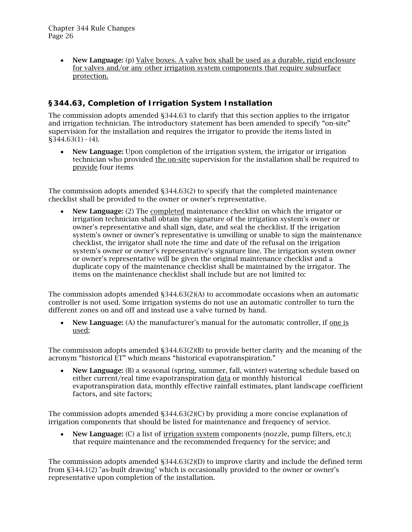• New Language: (p) Valve boxes. A valve box shall be used as a durable, rigid enclosure for valves and/or any other irrigation system components that require subsurface protection.

## <span id="page-25-0"></span>**§344.63, Completion of Irrigation System Installation**

The commission adopts amended §344.63 to clarify that this section applies to the irrigator and irrigation technician. The introductory statement has been amended to specify "on-site" supervision for the installation and requires the irrigator to provide the items listed in  $$344.63(1) - (4).$ 

• New Language: Upon completion of the irrigation system, the irrigator or irrigation technician who provided the on-site supervision for the installation shall be required to provide four items

The commission adopts amended §344.63(2) to specify that the completed maintenance checklist shall be provided to the owner or owner's representative.

• New Language: (2) The completed maintenance checklist on which the irrigator or irrigation technician shall obtain the signature of the irrigation system's owner or owner's representative and shall sign, date, and seal the checklist. If the irrigation system's owner or owner's representative is unwilling or unable to sign the maintenance checklist, the irrigator shall note the time and date of the refusal on the irrigation system's owner or owner's representative's signature line. The irrigation system owner or owner's representative will be given the original maintenance checklist and a duplicate copy of the maintenance checklist shall be maintained by the irrigator. The items on the maintenance checklist shall include but are not limited to:

The commission adopts amended §344.63(2)(A) to accommodate occasions when an automatic controller is not used. Some irrigation systems do not use an automatic controller to turn the different zones on and off and instead use a valve turned by hand.

• New Language: (A) the manufacturer's manual for the automatic controller, if one is used;

The commission adopts amended §344.63(2)(B) to provide better clarity and the meaning of the acronym "historical ET" which means "historical evapotranspiration."

• New Language: (B) a seasonal (spring, summer, fall, winter) watering schedule based on either current/real time evapotranspiration data or monthly historical evapotranspiration data, monthly effective rainfall estimates, plant landscape coefficient factors, and site factors;

The commission adopts amended §344.63(2)(C) by providing a more concise explanation of irrigation components that should be listed for maintenance and frequency of service.

• New Language: (C) a list of irrigation system components (nozzle, pump filters, etc.); that require maintenance and the recommended frequency for the service; and

The commission adopts amended §344.63(2)(D) to improve clarity and include the defined term from §344.1(2) "as-built drawing" which is occasionally provided to the owner or owner's representative upon completion of the installation.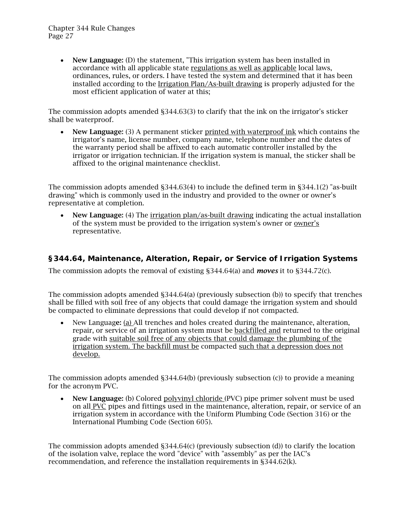• New Language: (D) the statement, "This irrigation system has been installed in accordance with all applicable state regulations as well as applicable local laws, ordinances, rules, or orders. I have tested the system and determined that it has been installed according to the Irrigation Plan/As-built drawing is properly adjusted for the most efficient application of water at this;

The commission adopts amended §344.63(3) to clarify that the ink on the irrigator's sticker shall be waterproof.

• New Language: (3) A permanent sticker printed with waterproof ink which contains the irrigator's name, license number, company name, telephone number and the dates of the warranty period shall be affixed to each automatic controller installed by the irrigator or irrigation technician. If the irrigation system is manual, the sticker shall be affixed to the original maintenance checklist.

The commission adopts amended §344.63(4) to include the defined term in §344.1(2) "as-built drawing" which is commonly used in the industry and provided to the owner or owner's representative at completion.

• New Language: (4) The irrigation plan/as-built drawing indicating the actual installation of the system must be provided to the irrigation system's owner or owner's representative.

#### <span id="page-26-0"></span>**§344.64, Maintenance, Alteration, Repair, or Service of Irrigation Systems**

The commission adopts the removal of existing §344.64(a) and *moves* it to §344.72(c).

The commission adopts amended §344.64(a) (previously subsection (b)) to specify that trenches shall be filled with soil free of any objects that could damage the irrigation system and should be compacted to eliminate depressions that could develop if not compacted.

• New Language: (a) All trenches and holes created during the maintenance, alteration, repair, or service of an irrigation system must be backfilled and returned to the original grade with suitable soil free of any objects that could damage the plumbing of the irrigation system. The backfill must be compacted such that a depression does not develop.

The commission adopts amended §344.64(b) (previously subsection (c)) to provide a meaning for the acronym PVC.

• New Language: (b) Colored polyvinyl chloride (PVC) pipe primer solvent must be used on all PVC pipes and fittings used in the maintenance, alteration, repair, or service of an irrigation system in accordance with the Uniform Plumbing Code (Section 316) or the International Plumbing Code (Section 605).

The commission adopts amended §344.64(c) (previously subsection (d)) to clarify the location of the isolation valve, replace the word "device" with "assembly" as per the IAC's recommendation, and reference the installation requirements in §344.62(k).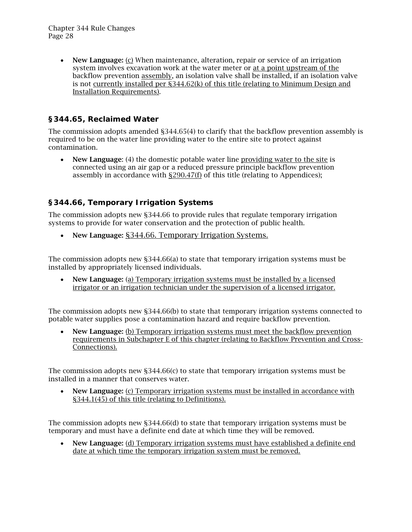• New Language: (c) When maintenance, alteration, repair or service of an irrigation system involves excavation work at the water meter or at a point upstream of the backflow prevention assembly, an isolation valve shall be installed, if an isolation valve is not currently installed per §344.62(k) of this title (relating to Minimum Design and Installation Requirements).

## <span id="page-27-0"></span>**§344.65, Reclaimed Water**

The commission adopts amended §344.65(4) to clarify that the backflow prevention assembly is required to be on the water line providing water to the entire site to protect against contamination.

• New Language: (4) the domestic potable water line providing water to the site is connected using an air gap or a reduced pressure principle backflow prevention assembly in accordance with  $\S290.47(f)$  of this title (relating to Appendices);

## <span id="page-27-1"></span>**§344.66, Temporary Irrigation Systems**

The commission adopts new §344.66 to provide rules that regulate temporary irrigation systems to provide for water conservation and the protection of public health.

• New Language: §344.66. Temporary Irrigation Systems.

The commission adopts new §344.66(a) to state that temporary irrigation systems must be installed by appropriately licensed individuals.

• New Language: (a) Temporary irrigation systems must be installed by a licensed irrigator or an irrigation technician under the supervision of a licensed irrigator.

The commission adopts new §344.66(b) to state that temporary irrigation systems connected to potable water supplies pose a contamination hazard and require backflow prevention.

• New Language: (b) Temporary irrigation systems must meet the backflow prevention requirements in Subchapter E of this chapter (relating to Backflow Prevention and Cross-Connections).

The commission adopts new §344.66(c) to state that temporary irrigation systems must be installed in a manner that conserves water.

• New Language: (c) Temporary irrigation systems must be installed in accordance with §344.1(45) of this title (relating to Definitions).

The commission adopts new §344.66(d) to state that temporary irrigation systems must be temporary and must have a definite end date at which time they will be removed.

• New Language: (d) Temporary irrigation systems must have established a definite end date at which time the temporary irrigation system must be removed.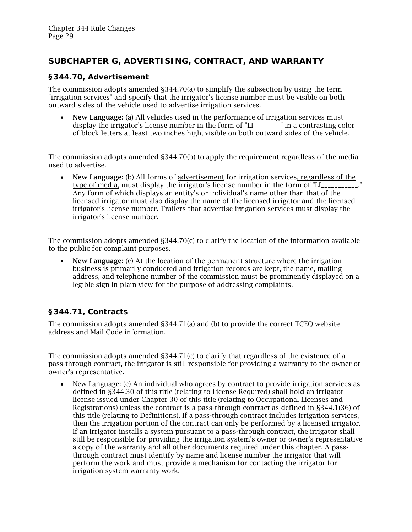## <span id="page-28-0"></span>*SUBCHAPTER G, ADVERTISING, CONTRACT, AND WARRANTY*

### <span id="page-28-1"></span>**§344.70, Advertisement**

The commission adopts amended §344.70(a) to simplify the subsection by using the term "irrigation services" and specify that the irrigator's license number must be visible on both outward sides of the vehicle used to advertise irrigation services.

• New Language: (a) All vehicles used in the performance of irrigation services must display the irrigator's license number in the form of "LI\_\_\_\_\_\_\_\_" in a contrasting color of block letters at least two inches high, visible on both outward sides of the vehicle.

The commission adopts amended §344.70(b) to apply the requirement regardless of the media used to advertise.

New Language: (b) All forms of advertisement for irrigation services, regardless of the type of media, must display the irrigator's license number in the form of "LI\_\_\_\_\_\_\_\_\_\_. Any form of which displays an entity's or individual's name other than that of the licensed irrigator must also display the name of the licensed irrigator and the licensed irrigator's license number. Trailers that advertise irrigation services must display the irrigator's license number.

The commission adopts amended §344.70(c) to clarify the location of the information available to the public for complaint purposes.

New Language: (c) At the location of the permanent structure where the irrigation business is primarily conducted and irrigation records are kept, the name, mailing address, and telephone number of the commission must be prominently displayed on a legible sign in plain view for the purpose of addressing complaints.

## <span id="page-28-2"></span>**§344.71, Contracts**

The commission adopts amended §344.71(a) and (b) to provide the correct TCEQ website address and Mail Code information.

The commission adopts amended §344.71(c) to clarify that regardless of the existence of a pass-through contract, the irrigator is still responsible for providing a warranty to the owner or owner's representative.

• New Language: (c) An individual who agrees by contract to provide irrigation services as defined in §344.30 of this title (relating to License Required) shall hold an irrigator license issued under Chapter 30 of this title (relating to Occupational Licenses and Registrations) unless the contract is a pass-through contract as defined in §344.1(36) of this title (relating to Definitions). If a pass-through contract includes irrigation services, then the irrigation portion of the contract can only be performed by a licensed irrigator. If an irrigator installs a system pursuant to a pass-through contract, the irrigator shall still be responsible for providing the irrigation system's owner or owner's representative a copy of the warranty and all other documents required under this chapter. A passthrough contract must identify by name and license number the irrigator that will perform the work and must provide a mechanism for contacting the irrigator for irrigation system warranty work.